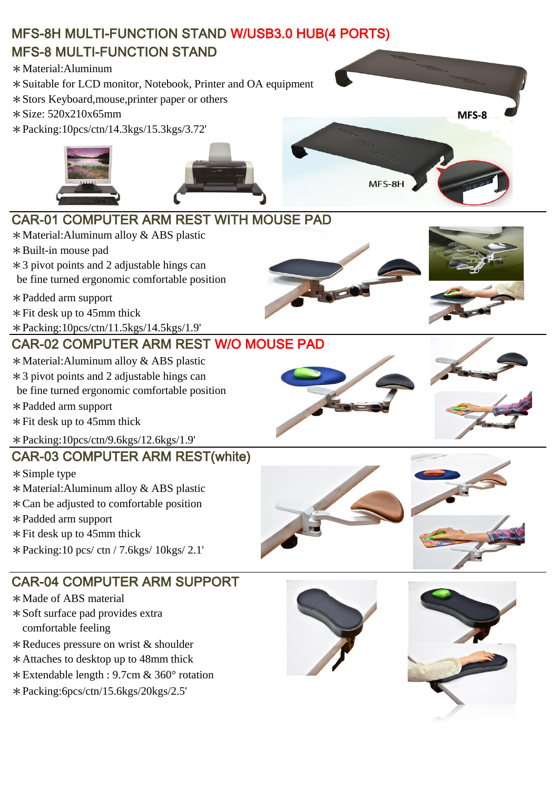# MFS-8H MULTI-FUNCTION STAND W/USB3.0 HUB(4 PORTS) MFS-8 MULTI-FUNCTION STAND

\*Material:Aluminum

- \*Suitable for LCD monitor, Notebook, Printer and OA equipment
- \*Stors Keyboard,mouse,printer paper or others
- \*Size: 520x210x65mm
- \*Packing:10pcs/ctn/14.3kgs/15.3kgs/3.72'



#### CAR-01 COMPUTER ARM REST WITH MOUSE PAD

- \*Material:Aluminum alloy & ABS plastic
- \*Built-in mouse pad
- \*3 pivot points and 2 adjustable hings can
- be fine turned ergonomic comfortable position
- \*Padded arm support
- \*Fit desk up to 45mm thick
- \*Packing:10pcs/ctn/11.5kgs/14.5kgs/1.9'

# CAR-02 COMPUTER ARM REST W/O MOUSE PAD

- \*Material:Aluminum alloy & ABS plastic
- \*3 pivot points and 2 adjustable hings can
- be fine turned ergonomic comfortable position
- \*Padded arm support
- \*Fit desk up to 45mm thick
- \*Packing:10pcs/ctn/9.6kgs/12.6kgs/1.9'

#### CAR-03 COMPUTER ARM REST(white)

- \*Simple type
- \*Material:Aluminum alloy & ABS plastic
- \*Can be adjusted to comfortable position
- \*Padded arm support
- $*$  Fit desk up to 45mm thick
- \*Packing:10 pcs/ ctn / 7.6kgs/ 10kgs/ 2.1'

# CAR-04 COMPUTER ARM SUPPORT

- \*Made of ABS material
- comfortable feeling \*Soft surface pad provides extra
- \*Reduces pressure on wrist & shoulder
- \*Attaches to desktop up to 48mm thick
- \*Extendable length : 9.7cm & 360° rotation
- \*Packing:6pcs/ctn/15.6kgs/20kgs/2.5'









**MFS-8**